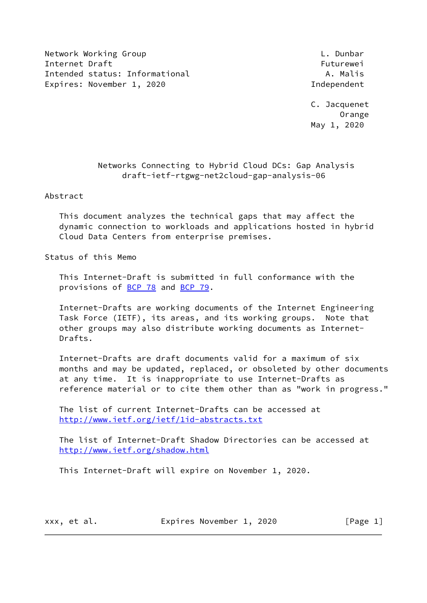Network Working Group **L. Dunbar** Internet Draft Futurewei Intended status: Informational A. Malis Expires: November 1, 2020 and the contract of the Independent

 C. Jacquenet Orange May 1, 2020

# Networks Connecting to Hybrid Cloud DCs: Gap Analysis draft-ietf-rtgwg-net2cloud-gap-analysis-06

Abstract

 This document analyzes the technical gaps that may affect the dynamic connection to workloads and applications hosted in hybrid Cloud Data Centers from enterprise premises.

Status of this Memo

 This Internet-Draft is submitted in full conformance with the provisions of **BCP 78** and **BCP 79**.

 Internet-Drafts are working documents of the Internet Engineering Task Force (IETF), its areas, and its working groups. Note that other groups may also distribute working documents as Internet- Drafts.

 Internet-Drafts are draft documents valid for a maximum of six months and may be updated, replaced, or obsoleted by other documents at any time. It is inappropriate to use Internet-Drafts as reference material or to cite them other than as "work in progress."

 The list of current Internet-Drafts can be accessed at <http://www.ietf.org/ietf/1id-abstracts.txt>

 The list of Internet-Draft Shadow Directories can be accessed at <http://www.ietf.org/shadow.html>

This Internet-Draft will expire on November 1, 2020.

xxx, et al. Expires November 1, 2020 [Page 1]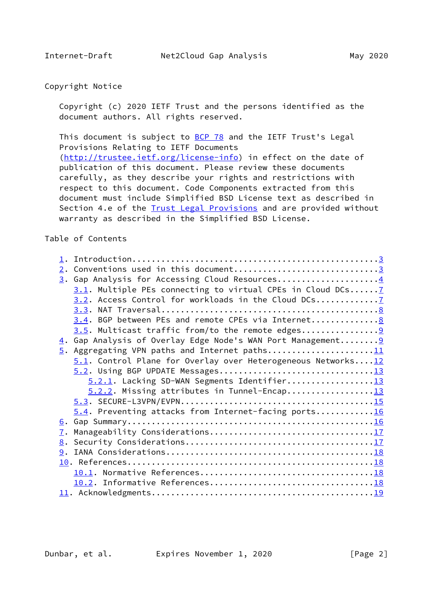# Copyright Notice

 Copyright (c) 2020 IETF Trust and the persons identified as the document authors. All rights reserved.

This document is subject to **[BCP 78](https://datatracker.ietf.org/doc/pdf/bcp78)** and the IETF Trust's Legal Provisions Relating to IETF Documents [\(http://trustee.ietf.org/license-info](http://trustee.ietf.org/license-info)) in effect on the date of publication of this document. Please review these documents carefully, as they describe your rights and restrictions with respect to this document. Code Components extracted from this document must include Simplified BSD License text as described in Section 4.e of the [Trust Legal Provisions](https://trustee.ietf.org/license-info) and are provided without warranty as described in the Simplified BSD License.

## Table of Contents

| 2. Conventions used in this document3                              |  |
|--------------------------------------------------------------------|--|
| 3. Gap Analysis for Accessing Cloud Resources4                     |  |
| 3.1. Multiple PEs connecting to virtual CPEs in Cloud DCs 7        |  |
| 3.2. Access Control for workloads in the Cloud DCs                 |  |
|                                                                    |  |
| 3.4. BGP between PEs and remote CPEs via Internet8                 |  |
|                                                                    |  |
| 4. Gap Analysis of Overlay Edge Node's WAN Port Management 9       |  |
| 5. Aggregating VPN paths and Internet paths11                      |  |
| $5.1$ . Control Plane for Overlay over Heterogeneous Networks $12$ |  |
|                                                                    |  |
| 5.2.1. Lacking SD-WAN Segments Identifier13                        |  |
|                                                                    |  |
|                                                                    |  |
| 5.4. Preventing attacks from Internet-facing ports16               |  |
|                                                                    |  |
| 7.                                                                 |  |
|                                                                    |  |
|                                                                    |  |
|                                                                    |  |
|                                                                    |  |
|                                                                    |  |
|                                                                    |  |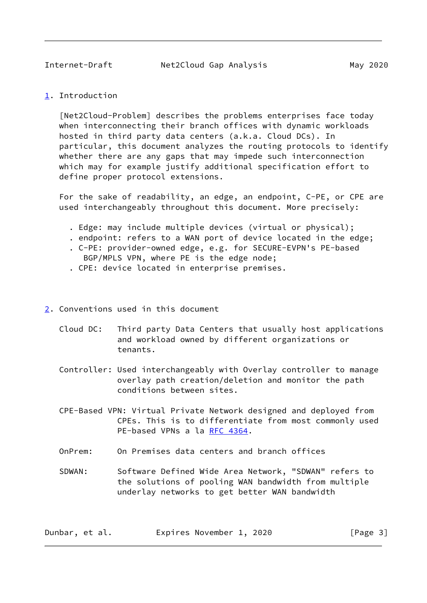<span id="page-2-1"></span>Internet-Draft Net2Cloud Gap Analysis May 2020

<span id="page-2-0"></span>[1](#page-2-0). Introduction

 [Net2Cloud-Problem] describes the problems enterprises face today when interconnecting their branch offices with dynamic workloads hosted in third party data centers (a.k.a. Cloud DCs). In particular, this document analyzes the routing protocols to identify whether there are any gaps that may impede such interconnection which may for example justify additional specification effort to define proper protocol extensions.

 For the sake of readability, an edge, an endpoint, C-PE, or CPE are used interchangeably throughout this document. More precisely:

- . Edge: may include multiple devices (virtual or physical);
- . endpoint: refers to a WAN port of device located in the edge;
- . C-PE: provider-owned edge, e.g. for SECURE-EVPN's PE-based BGP/MPLS VPN, where PE is the edge node;
- . CPE: device located in enterprise premises.
- <span id="page-2-2"></span>[2](#page-2-2). Conventions used in this document
	- Cloud DC: Third party Data Centers that usually host applications and workload owned by different organizations or tenants.
	- Controller: Used interchangeably with Overlay controller to manage overlay path creation/deletion and monitor the path conditions between sites.
	- CPE-Based VPN: Virtual Private Network designed and deployed from CPEs. This is to differentiate from most commonly used PE-based VPNs a la [RFC 4364.](https://datatracker.ietf.org/doc/pdf/rfc4364)
	- OnPrem: On Premises data centers and branch offices
	- SDWAN: Software Defined Wide Area Network, "SDWAN" refers to the solutions of pooling WAN bandwidth from multiple underlay networks to get better WAN bandwidth

| Dunbar, et al. |  | Expires November 1, 2020 |  |  |  | [Page 3] |  |  |
|----------------|--|--------------------------|--|--|--|----------|--|--|
|----------------|--|--------------------------|--|--|--|----------|--|--|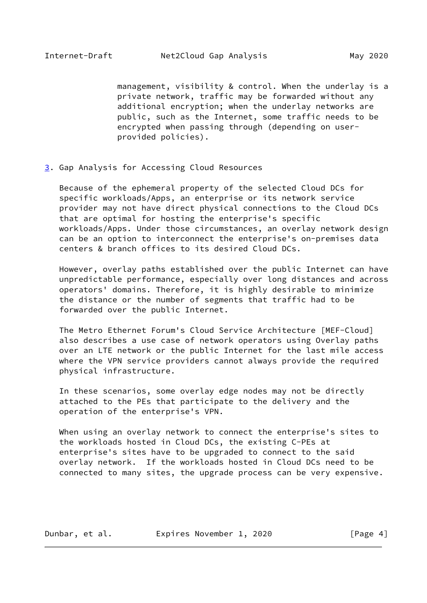<span id="page-3-1"></span> management, visibility & control. When the underlay is a private network, traffic may be forwarded without any additional encryption; when the underlay networks are public, such as the Internet, some traffic needs to be encrypted when passing through (depending on user provided policies).

<span id="page-3-0"></span>[3](#page-3-0). Gap Analysis for Accessing Cloud Resources

 Because of the ephemeral property of the selected Cloud DCs for specific workloads/Apps, an enterprise or its network service provider may not have direct physical connections to the Cloud DCs that are optimal for hosting the enterprise's specific workloads/Apps. Under those circumstances, an overlay network design can be an option to interconnect the enterprise's on-premises data centers & branch offices to its desired Cloud DCs.

 However, overlay paths established over the public Internet can have unpredictable performance, especially over long distances and across operators' domains. Therefore, it is highly desirable to minimize the distance or the number of segments that traffic had to be forwarded over the public Internet.

 The Metro Ethernet Forum's Cloud Service Architecture [MEF-Cloud] also describes a use case of network operators using Overlay paths over an LTE network or the public Internet for the last mile access where the VPN service providers cannot always provide the required physical infrastructure.

 In these scenarios, some overlay edge nodes may not be directly attached to the PEs that participate to the delivery and the operation of the enterprise's VPN.

 When using an overlay network to connect the enterprise's sites to the workloads hosted in Cloud DCs, the existing C-PEs at enterprise's sites have to be upgraded to connect to the said overlay network. If the workloads hosted in Cloud DCs need to be connected to many sites, the upgrade process can be very expensive.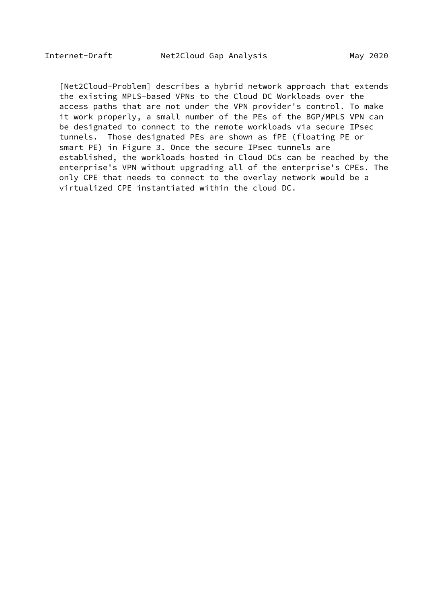[Net2Cloud-Problem] describes a hybrid network approach that extends the existing MPLS-based VPNs to the Cloud DC Workloads over the access paths that are not under the VPN provider's control. To make it work properly, a small number of the PEs of the BGP/MPLS VPN can be designated to connect to the remote workloads via secure IPsec tunnels. Those designated PEs are shown as fPE (floating PE or smart PE) in Figure 3. Once the secure IPsec tunnels are established, the workloads hosted in Cloud DCs can be reached by the enterprise's VPN without upgrading all of the enterprise's CPEs. The only CPE that needs to connect to the overlay network would be a virtualized CPE instantiated within the cloud DC.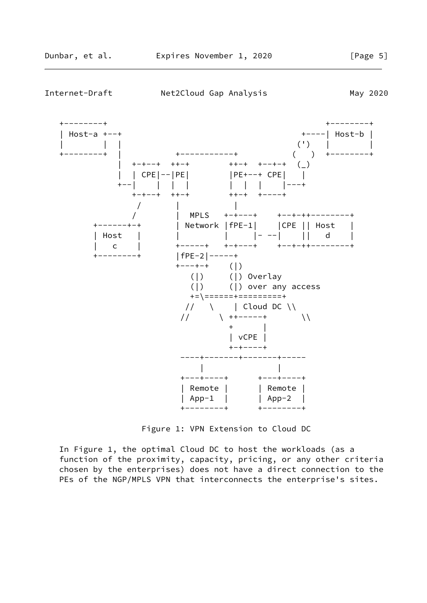

Figure 1: VPN Extension to Cloud DC

 In Figure 1, the optimal Cloud DC to host the workloads (as a function of the proximity, capacity, pricing, or any other criteria chosen by the enterprises) does not have a direct connection to the PEs of the NGP/MPLS VPN that interconnects the enterprise's sites.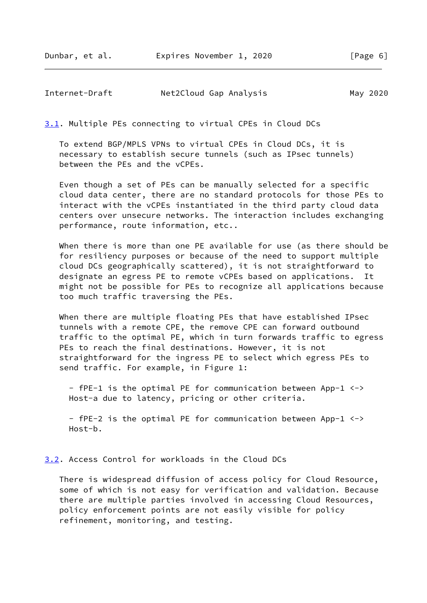Dunbar, et al. Expires November 1, 2020 [Page 6]

<span id="page-6-1"></span>Internet-Draft Met2Cloud Gap Analysis May 2020

<span id="page-6-0"></span>[3.1](#page-6-0). Multiple PEs connecting to virtual CPEs in Cloud DCs

 To extend BGP/MPLS VPNs to virtual CPEs in Cloud DCs, it is necessary to establish secure tunnels (such as IPsec tunnels) between the PEs and the vCPEs.

 Even though a set of PEs can be manually selected for a specific cloud data center, there are no standard protocols for those PEs to interact with the vCPEs instantiated in the third party cloud data centers over unsecure networks. The interaction includes exchanging performance, route information, etc..

 When there is more than one PE available for use (as there should be for resiliency purposes or because of the need to support multiple cloud DCs geographically scattered), it is not straightforward to designate an egress PE to remote vCPEs based on applications. It might not be possible for PEs to recognize all applications because too much traffic traversing the PEs.

 When there are multiple floating PEs that have established IPsec tunnels with a remote CPE, the remove CPE can forward outbound traffic to the optimal PE, which in turn forwards traffic to egress PEs to reach the final destinations. However, it is not straightforward for the ingress PE to select which egress PEs to send traffic. For example, in Figure 1:

 - fPE-1 is the optimal PE for communication between App-1 <-> Host-a due to latency, pricing or other criteria.

 - fPE-2 is the optimal PE for communication between App-1 <-> Host-b.

<span id="page-6-2"></span>[3.2](#page-6-2). Access Control for workloads in the Cloud DCs

 There is widespread diffusion of access policy for Cloud Resource, some of which is not easy for verification and validation. Because there are multiple parties involved in accessing Cloud Resources, policy enforcement points are not easily visible for policy refinement, monitoring, and testing.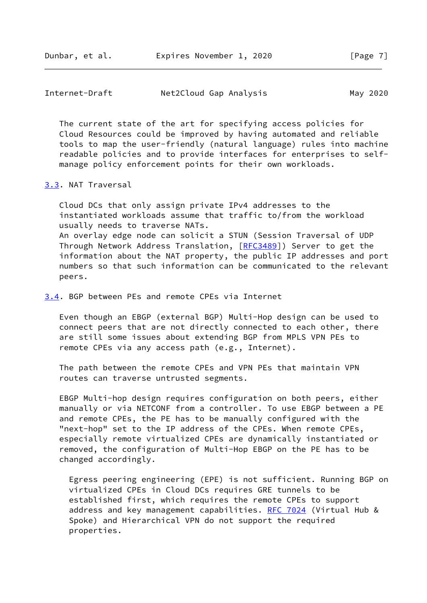<span id="page-7-1"></span>

| Internet-Draft | Net2Cloud Gap Analysis |  |  | May 2020 |  |
|----------------|------------------------|--|--|----------|--|
|----------------|------------------------|--|--|----------|--|

 The current state of the art for specifying access policies for Cloud Resources could be improved by having automated and reliable tools to map the user-friendly (natural language) rules into machine readable policies and to provide interfaces for enterprises to self manage policy enforcement points for their own workloads.

## <span id="page-7-0"></span>[3.3](#page-7-0). NAT Traversal

 Cloud DCs that only assign private IPv4 addresses to the instantiated workloads assume that traffic to/from the workload usually needs to traverse NATs. An overlay edge node can solicit a STUN (Session Traversal of UDP Through Network Address Translation, [\[RFC3489](https://datatracker.ietf.org/doc/pdf/rfc3489)]) Server to get the information about the NAT property, the public IP addresses and port numbers so that such information can be communicated to the relevant peers.

<span id="page-7-2"></span>[3.4](#page-7-2). BGP between PEs and remote CPEs via Internet

 Even though an EBGP (external BGP) Multi-Hop design can be used to connect peers that are not directly connected to each other, there are still some issues about extending BGP from MPLS VPN PEs to remote CPEs via any access path (e.g., Internet).

 The path between the remote CPEs and VPN PEs that maintain VPN routes can traverse untrusted segments.

 EBGP Multi-hop design requires configuration on both peers, either manually or via NETCONF from a controller. To use EBGP between a PE and remote CPEs, the PE has to be manually configured with the "next-hop" set to the IP address of the CPEs. When remote CPEs, especially remote virtualized CPEs are dynamically instantiated or removed, the configuration of Multi-Hop EBGP on the PE has to be changed accordingly.

 Egress peering engineering (EPE) is not sufficient. Running BGP on virtualized CPEs in Cloud DCs requires GRE tunnels to be established first, which requires the remote CPEs to support address and key management capabilities. [RFC 7024](https://datatracker.ietf.org/doc/pdf/rfc7024) (Virtual Hub & Spoke) and Hierarchical VPN do not support the required properties.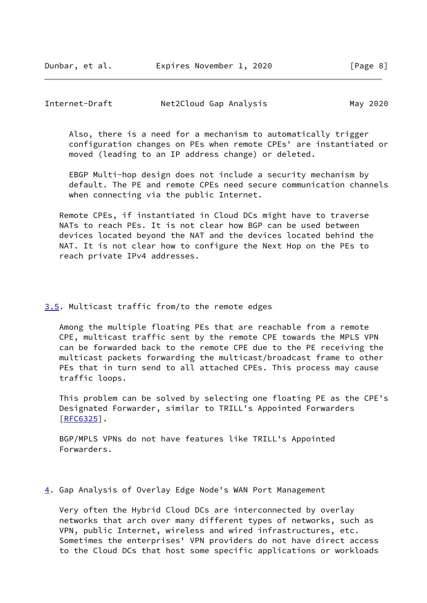Dunbar, et al. Expires November 1, 2020 [Page 8]

# <span id="page-8-1"></span>Internet-Draft Net2Cloud Gap Analysis May 2020

 Also, there is a need for a mechanism to automatically trigger configuration changes on PEs when remote CPEs' are instantiated or moved (leading to an IP address change) or deleted.

 EBGP Multi-hop design does not include a security mechanism by default. The PE and remote CPEs need secure communication channels when connecting via the public Internet.

 Remote CPEs, if instantiated in Cloud DCs might have to traverse NATs to reach PEs. It is not clear how BGP can be used between devices located beyond the NAT and the devices located behind the NAT. It is not clear how to configure the Next Hop on the PEs to reach private IPv4 addresses.

## <span id="page-8-0"></span>[3.5](#page-8-0). Multicast traffic from/to the remote edges

 Among the multiple floating PEs that are reachable from a remote CPE, multicast traffic sent by the remote CPE towards the MPLS VPN can be forwarded back to the remote CPE due to the PE receiving the multicast packets forwarding the multicast/broadcast frame to other PEs that in turn send to all attached CPEs. This process may cause traffic loops.

 This problem can be solved by selecting one floating PE as the CPE's Designated Forwarder, similar to TRILL's Appointed Forwarders  $[REG325]$ .

 BGP/MPLS VPNs do not have features like TRILL's Appointed Forwarders.

#### <span id="page-8-2"></span>[4](#page-8-2). Gap Analysis of Overlay Edge Node's WAN Port Management

 Very often the Hybrid Cloud DCs are interconnected by overlay networks that arch over many different types of networks, such as VPN, public Internet, wireless and wired infrastructures, etc. Sometimes the enterprises' VPN providers do not have direct access to the Cloud DCs that host some specific applications or workloads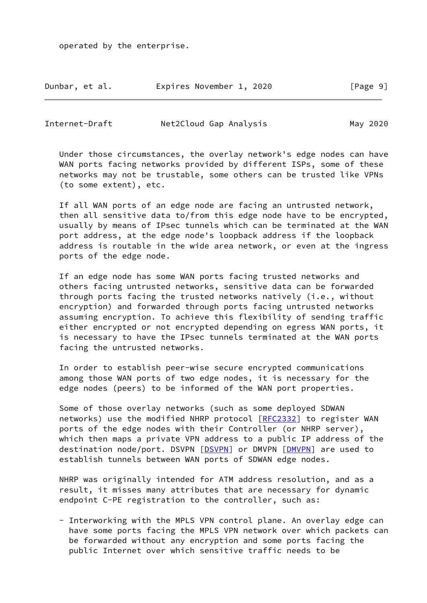operated by the enterprise.

| Dunbar, et al. | Expires November 1, 2020 |  | [Page 9] |
|----------------|--------------------------|--|----------|
|----------------|--------------------------|--|----------|

Internet-Draft Net2Cloud Gap Analysis May 2020

 Under those circumstances, the overlay network's edge nodes can have WAN ports facing networks provided by different ISPs, some of these networks may not be trustable, some others can be trusted like VPNs (to some extent), etc.

 If all WAN ports of an edge node are facing an untrusted network, then all sensitive data to/from this edge node have to be encrypted, usually by means of IPsec tunnels which can be terminated at the WAN port address, at the edge node's loopback address if the loopback address is routable in the wide area network, or even at the ingress ports of the edge node.

 If an edge node has some WAN ports facing trusted networks and others facing untrusted networks, sensitive data can be forwarded through ports facing the trusted networks natively (i.e., without encryption) and forwarded through ports facing untrusted networks assuming encryption. To achieve this flexibility of sending traffic either encrypted or not encrypted depending on egress WAN ports, it is necessary to have the IPsec tunnels terminated at the WAN ports facing the untrusted networks.

 In order to establish peer-wise secure encrypted communications among those WAN ports of two edge nodes, it is necessary for the edge nodes (peers) to be informed of the WAN port properties.

 Some of those overlay networks (such as some deployed SDWAN networks) use the modified NHRP protocol [\[RFC2332](https://datatracker.ietf.org/doc/pdf/rfc2332)] to register WAN ports of the edge nodes with their Controller (or NHRP server), which then maps a private VPN address to a public IP address of the destination node/port. DSVPN [\[DSVPN\]](#page-18-2) or DMVPN [[DMVPN\]](#page-18-3) are used to establish tunnels between WAN ports of SDWAN edge nodes.

 NHRP was originally intended for ATM address resolution, and as a result, it misses many attributes that are necessary for dynamic endpoint C-PE registration to the controller, such as:

 - Interworking with the MPLS VPN control plane. An overlay edge can have some ports facing the MPLS VPN network over which packets can be forwarded without any encryption and some ports facing the public Internet over which sensitive traffic needs to be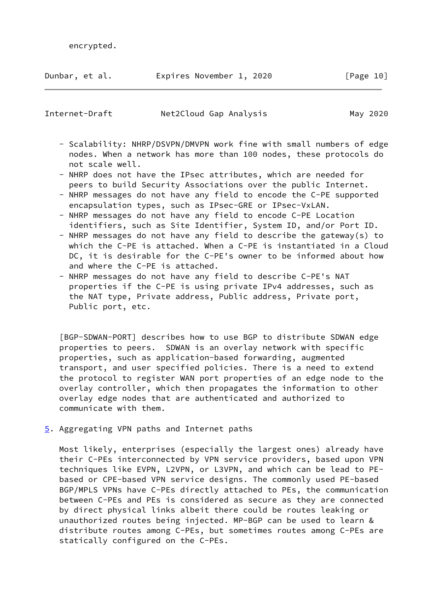| Dunbar, et al. |  | Expires November 1, 2020 |  |  | [Page 10] |  |  |
|----------------|--|--------------------------|--|--|-----------|--|--|
|----------------|--|--------------------------|--|--|-----------|--|--|

<span id="page-10-1"></span>Internet-Draft Net2Cloud Gap Analysis May 2020

- Scalability: NHRP/DSVPN/DMVPN work fine with small numbers of edge nodes. When a network has more than 100 nodes, these protocols do not scale well.
- NHRP does not have the IPsec attributes, which are needed for peers to build Security Associations over the public Internet.
- NHRP messages do not have any field to encode the C-PE supported encapsulation types, such as IPsec-GRE or IPsec-VxLAN.
- NHRP messages do not have any field to encode C-PE Location identifiers, such as Site Identifier, System ID, and/or Port ID.
- NHRP messages do not have any field to describe the gateway(s) to which the C-PE is attached. When a C-PE is instantiated in a Cloud DC, it is desirable for the C-PE's owner to be informed about how and where the C-PE is attached.
- NHRP messages do not have any field to describe C-PE's NAT properties if the C-PE is using private IPv4 addresses, such as the NAT type, Private address, Public address, Private port, Public port, etc.

<span id="page-10-2"></span> [BGP-SDWAN-PORT] describes how to use BGP to distribute SDWAN edge properties to peers. SDWAN is an overlay network with specific properties, such as application-based forwarding, augmented transport, and user specified policies. There is a need to extend the protocol to register WAN port properties of an edge node to the overlay controller, which then propagates the information to other overlay edge nodes that are authenticated and authorized to communicate with them.

<span id="page-10-0"></span>[5](#page-10-0). Aggregating VPN paths and Internet paths

 Most likely, enterprises (especially the largest ones) already have their C-PEs interconnected by VPN service providers, based upon VPN techniques like EVPN, L2VPN, or L3VPN, and which can be lead to PE based or CPE-based VPN service designs. The commonly used PE-based BGP/MPLS VPNs have C-PEs directly attached to PEs, the communication between C-PEs and PEs is considered as secure as they are connected by direct physical links albeit there could be routes leaking or unauthorized routes being injected. MP-BGP can be used to learn & distribute routes among C-PEs, but sometimes routes among C-PEs are statically configured on the C-PEs.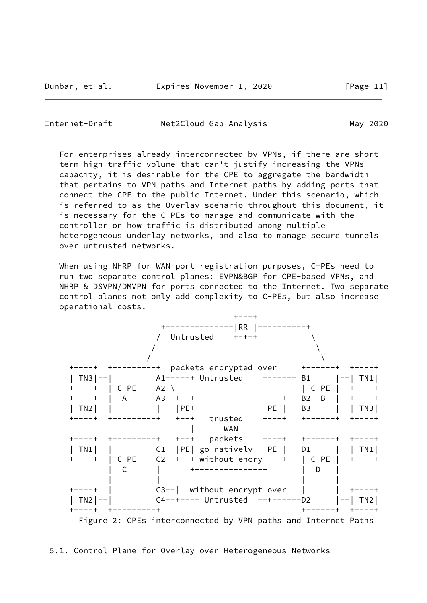<span id="page-11-0"></span>Internet-Draft Net2Cloud Gap Analysis May 2020

 For enterprises already interconnected by VPNs, if there are short term high traffic volume that can't justify increasing the VPNs capacity, it is desirable for the CPE to aggregate the bandwidth that pertains to VPN paths and Internet paths by adding ports that connect the CPE to the public Internet. Under this scenario, which is referred to as the Overlay scenario throughout this document, it is necessary for the C-PEs to manage and communicate with the controller on how traffic is distributed among multiple heterogeneous underlay networks, and also to manage secure tunnels over untrusted networks.

 When using NHRP for WAN port registration purposes, C-PEs need to run two separate control planes: EVPN&BGP for CPE-based VPNs, and NHRP & DSVPN/DMVPN for ports connected to the Internet. Two separate control planes not only add complexity to C-PEs, but also increase operational costs.

|                     | $+ - - - +$                                                              |                |
|---------------------|--------------------------------------------------------------------------|----------------|
|                     | +--------------  RR  ----------+                                         |                |
|                     |                                                                          |                |
|                     |                                                                          |                |
|                     |                                                                          |                |
|                     |                                                                          |                |
|                     | TN3 --              A1-----+ Untrusted     +------   B1        --   TN1  |                |
| $+---+$   C-PE A2-\ | $ $ C-PE $ $ +----+                                                      |                |
|                     |                                                                          |                |
|                     | TN2 --            PE+--------------+PE  ---B3    --  TN3                 |                |
|                     |                                                                          |                |
|                     | <b>WAN</b>                                                               |                |
|                     |                                                                          |                |
|                     | TN1 --          C1-- PE  go natively  PE  -- D1      --  TN1             |                |
|                     |                                                                          |                |
| - C                 | +--------------+                                                         | <b>D</b>       |
|                     | +----+   C3--  without encrypt over     +----+                           |                |
|                     | TN2 --                C4--+---- Untrusted   --+------D2         --   TN2 |                |
| ----+ +---------+   |                                                                          | ------+ +----+ |
|                     | Figure 2: CPEs interconnected by VPN paths and Internet Paths            |                |

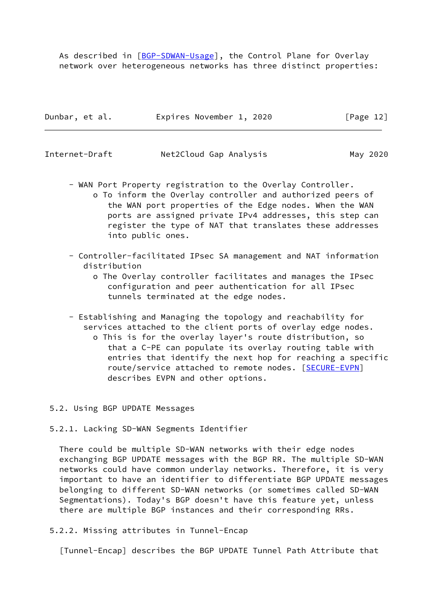As described in [\[BGP-SDWAN-Usage](#page-18-4)], the Control Plane for Overlay network over heterogeneous networks has three distinct properties:

| Dunbar, et al. | Expires November 1, 2020 | [Page 12] |
|----------------|--------------------------|-----------|
|                |                          |           |

<span id="page-12-0"></span>

| Internet-Draft | Net2Cloud Gap Analysis | May 2020 |
|----------------|------------------------|----------|
|----------------|------------------------|----------|

- WAN Port Property registration to the Overlay Controller.
	- o To inform the Overlay controller and authorized peers of the WAN port properties of the Edge nodes. When the WAN ports are assigned private IPv4 addresses, this step can register the type of NAT that translates these addresses into public ones.
- Controller-facilitated IPsec SA management and NAT information distribution
	- o The Overlay controller facilitates and manages the IPsec configuration and peer authentication for all IPsec tunnels terminated at the edge nodes.
- Establishing and Managing the topology and reachability for services attached to the client ports of overlay edge nodes. o This is for the overlay layer's route distribution, so that a C-PE can populate its overlay routing table with entries that identify the next hop for reaching a specific route/service attached to remote nodes. [[SECURE-EVPN](#page-14-2)] describes EVPN and other options.

### 5.2. Using BGP UPDATE Messages

5.2.1. Lacking SD-WAN Segments Identifier

 There could be multiple SD-WAN networks with their edge nodes exchanging BGP UPDATE messages with the BGP RR. The multiple SD-WAN networks could have common underlay networks. Therefore, it is very important to have an identifier to differentiate BGP UPDATE messages belonging to different SD-WAN networks (or sometimes called SD-WAN Segmentations). Today's BGP doesn't have this feature yet, unless there are multiple BGP instances and their corresponding RRs.

5.2.2. Missing attributes in Tunnel-Encap

<span id="page-12-1"></span>[Tunnel-Encap] describes the BGP UPDATE Tunnel Path Attribute that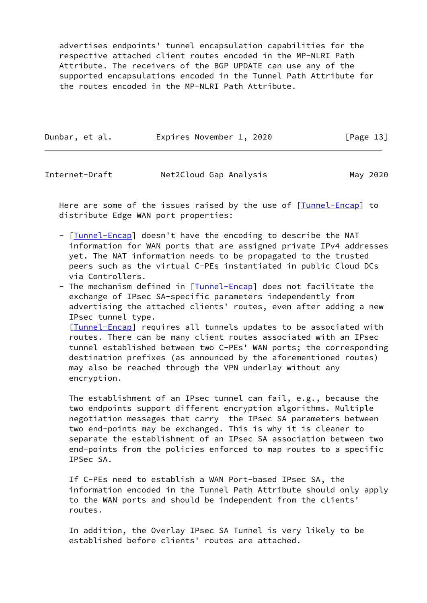advertises endpoints' tunnel encapsulation capabilities for the respective attached client routes encoded in the MP-NLRI Path Attribute. The receivers of the BGP UPDATE can use any of the supported encapsulations encoded in the Tunnel Path Attribute for the routes encoded in the MP-NLRI Path Attribute.

| Dunbar, et al. | Expires November 1, 2020 |  | [Page 13] |  |
|----------------|--------------------------|--|-----------|--|
|                |                          |  |           |  |

Internet-Draft Net2Cloud Gap Analysis May 2020

Here are some of the issues raised by the use of [\[Tunnel-Encap](#page-12-1)] to distribute Edge WAN port properties:

- [[Tunnel-Encap\]](#page-12-1) doesn't have the encoding to describe the NAT information for WAN ports that are assigned private IPv4 addresses yet. The NAT information needs to be propagated to the trusted peers such as the virtual C-PEs instantiated in public Cloud DCs via Controllers.
- The mechanism defined in [*Tunnel-Encap*] does not facilitate the exchange of IPsec SA-specific parameters independently from advertising the attached clients' routes, even after adding a new IPsec tunnel type.

 [[Tunnel-Encap\]](#page-12-1) requires all tunnels updates to be associated with routes. There can be many client routes associated with an IPsec tunnel established between two C-PEs' WAN ports; the corresponding destination prefixes (as announced by the aforementioned routes) may also be reached through the VPN underlay without any encryption.

 The establishment of an IPsec tunnel can fail, e.g., because the two endpoints support different encryption algorithms. Multiple negotiation messages that carry the IPsec SA parameters between two end-points may be exchanged. This is why it is cleaner to separate the establishment of an IPsec SA association between two end-points from the policies enforced to map routes to a specific IPSec SA.

 If C-PEs need to establish a WAN Port-based IPsec SA, the information encoded in the Tunnel Path Attribute should only apply to the WAN ports and should be independent from the clients' routes.

 In addition, the Overlay IPsec SA Tunnel is very likely to be established before clients' routes are attached.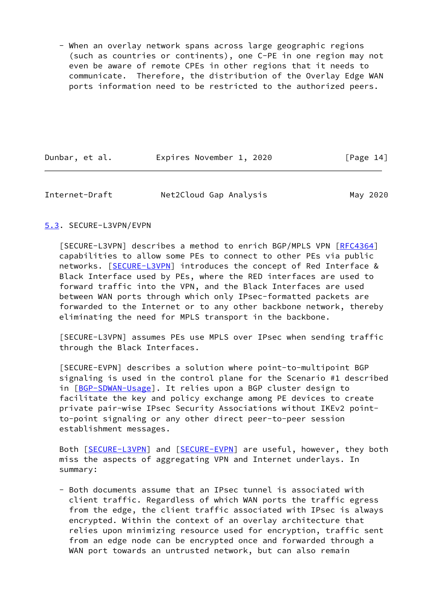- When an overlay network spans across large geographic regions (such as countries or continents), one C-PE in one region may not even be aware of remote CPEs in other regions that it needs to communicate. Therefore, the distribution of the Overlay Edge WAN ports information need to be restricted to the authorized peers.

| Dunbar, et al. | Expires November 1, 2020 | [Page 14] |
|----------------|--------------------------|-----------|
|----------------|--------------------------|-----------|

<span id="page-14-1"></span>

| Internet-Draft | Net2Cloud Gap Analysis | May 2020 |
|----------------|------------------------|----------|
|----------------|------------------------|----------|

# <span id="page-14-0"></span>[5.3](#page-14-0). SECURE-L3VPN/EVPN

<span id="page-14-3"></span> [SECURE-L3VPN] describes a method to enrich BGP/MPLS VPN [\[RFC4364](https://datatracker.ietf.org/doc/pdf/rfc4364)] capabilities to allow some PEs to connect to other PEs via public networks. [[SECURE-L3VPN\]](#page-14-3) introduces the concept of Red Interface & Black Interface used by PEs, where the RED interfaces are used to forward traffic into the VPN, and the Black Interfaces are used between WAN ports through which only IPsec-formatted packets are forwarded to the Internet or to any other backbone network, thereby eliminating the need for MPLS transport in the backbone.

 [SECURE-L3VPN] assumes PEs use MPLS over IPsec when sending traffic through the Black Interfaces.

<span id="page-14-2"></span> [SECURE-EVPN] describes a solution where point-to-multipoint BGP signaling is used in the control plane for the Scenario #1 described in [[BGP-SDWAN-Usage\]](#page-18-4). It relies upon a BGP cluster design to facilitate the key and policy exchange among PE devices to create private pair-wise IPsec Security Associations without IKEv2 point to-point signaling or any other direct peer-to-peer session establishment messages.

Both [\[SECURE-L3VPN](#page-14-3)] and [\[SECURE-EVPN](#page-14-2)] are useful, however, they both miss the aspects of aggregating VPN and Internet underlays. In summary:

 - Both documents assume that an IPsec tunnel is associated with client traffic. Regardless of which WAN ports the traffic egress from the edge, the client traffic associated with IPsec is always encrypted. Within the context of an overlay architecture that relies upon minimizing resource used for encryption, traffic sent from an edge node can be encrypted once and forwarded through a WAN port towards an untrusted network, but can also remain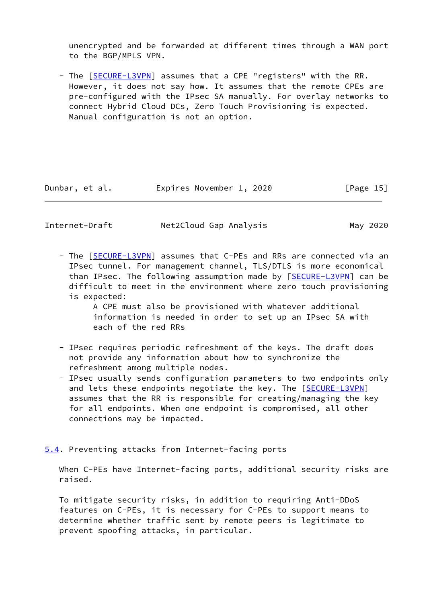unencrypted and be forwarded at different times through a WAN port to the BGP/MPLS VPN.

- The [[SECURE-L3VPN\]](#page-14-3) assumes that a CPE "registers" with the RR. However, it does not say how. It assumes that the remote CPEs are pre-configured with the IPsec SA manually. For overlay networks to connect Hybrid Cloud DCs, Zero Touch Provisioning is expected. Manual configuration is not an option.

| Dunbar, et al. | Expires November 1, 2020 | [Page 15] |
|----------------|--------------------------|-----------|
|                |                          |           |

<span id="page-15-1"></span>Internet-Draft Met2Cloud Gap Analysis May 2020

- The [[SECURE-L3VPN\]](#page-14-3) assumes that C-PEs and RRs are connected via an IPsec tunnel. For management channel, TLS/DTLS is more economical than IPsec. The following assumption made by [\[SECURE-L3VPN](#page-14-3)] can be difficult to meet in the environment where zero touch provisioning is expected:

> A CPE must also be provisioned with whatever additional information is needed in order to set up an IPsec SA with each of the red RRs

- IPsec requires periodic refreshment of the keys. The draft does not provide any information about how to synchronize the refreshment among multiple nodes.
- IPsec usually sends configuration parameters to two endpoints only and lets these endpoints negotiate the key. The [[SECURE-L3VPN\]](#page-14-3) assumes that the RR is responsible for creating/managing the key for all endpoints. When one endpoint is compromised, all other connections may be impacted.
- <span id="page-15-0"></span>[5.4](#page-15-0). Preventing attacks from Internet-facing ports

When C-PEs have Internet-facing ports, additional security risks are raised.

 To mitigate security risks, in addition to requiring Anti-DDoS features on C-PEs, it is necessary for C-PEs to support means to determine whether traffic sent by remote peers is legitimate to prevent spoofing attacks, in particular.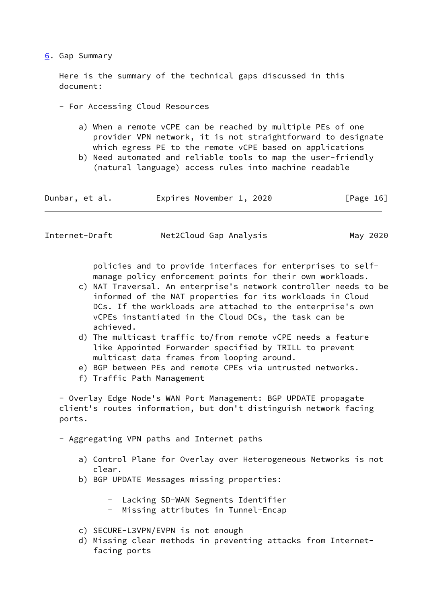### <span id="page-16-0"></span>[6](#page-16-0). Gap Summary

 Here is the summary of the technical gaps discussed in this document:

- For Accessing Cloud Resources
	- a) When a remote vCPE can be reached by multiple PEs of one provider VPN network, it is not straightforward to designate which egress PE to the remote vCPE based on applications
	- b) Need automated and reliable tools to map the user-friendly (natural language) access rules into machine readable

| Dunbar, et al. | Expires November 1, 2020 | [Page 16] |
|----------------|--------------------------|-----------|
|----------------|--------------------------|-----------|

<span id="page-16-1"></span>

| Internet-Draft | Net2Cloud Gap Analysis | May 2020 |
|----------------|------------------------|----------|
|----------------|------------------------|----------|

 policies and to provide interfaces for enterprises to self manage policy enforcement points for their own workloads.

- c) NAT Traversal. An enterprise's network controller needs to be informed of the NAT properties for its workloads in Cloud DCs. If the workloads are attached to the enterprise's own vCPEs instantiated in the Cloud DCs, the task can be achieved.
- d) The multicast traffic to/from remote vCPE needs a feature like Appointed Forwarder specified by TRILL to prevent multicast data frames from looping around.
- e) BGP between PEs and remote CPEs via untrusted networks.
- f) Traffic Path Management

 - Overlay Edge Node's WAN Port Management: BGP UPDATE propagate client's routes information, but don't distinguish network facing ports.

- Aggregating VPN paths and Internet paths

- a) Control Plane for Overlay over Heterogeneous Networks is not clear.
- b) BGP UPDATE Messages missing properties:
	- Lacking SD-WAN Segments Identifier
	- Missing attributes in Tunnel-Encap
- c) SECURE-L3VPN/EVPN is not enough
- d) Missing clear methods in preventing attacks from Internet facing ports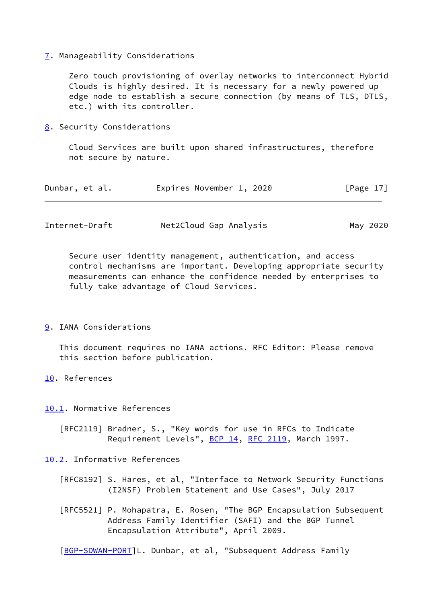### <span id="page-17-0"></span>[7](#page-17-0). Manageability Considerations

 Zero touch provisioning of overlay networks to interconnect Hybrid Clouds is highly desired. It is necessary for a newly powered up edge node to establish a secure connection (by means of TLS, DTLS, etc.) with its controller.

<span id="page-17-1"></span>[8](#page-17-1). Security Considerations

 Cloud Services are built upon shared infrastructures, therefore not secure by nature.

| Dunbar, et al. |  | Expires November 1, 2020 |  | [Page 17] |  |
|----------------|--|--------------------------|--|-----------|--|
|                |  |                          |  |           |  |

<span id="page-17-3"></span>

| Internet-Draft | Net2Cloud Gap Analysis | May 2020 |
|----------------|------------------------|----------|
|----------------|------------------------|----------|

 Secure user identity management, authentication, and access control mechanisms are important. Developing appropriate security measurements can enhance the confidence needed by enterprises to fully take advantage of Cloud Services.

#### <span id="page-17-2"></span>[9](#page-17-2). IANA Considerations

 This document requires no IANA actions. RFC Editor: Please remove this section before publication.

<span id="page-17-4"></span>[10.](#page-17-4) References

<span id="page-17-5"></span>[10.1](#page-17-5). Normative References

 [RFC2119] Bradner, S., "Key words for use in RFCs to Indicate Requirement Levels", [BCP 14](https://datatracker.ietf.org/doc/pdf/bcp14), [RFC 2119,](https://datatracker.ietf.org/doc/pdf/rfc2119) March 1997.

<span id="page-17-6"></span>[10.2](#page-17-6). Informative References

- [RFC8192] S. Hares, et al, "Interface to Network Security Functions (I2NSF) Problem Statement and Use Cases", July 2017
- [RFC5521] P. Mohapatra, E. Rosen, "The BGP Encapsulation Subsequent Address Family Identifier (SAFI) and the BGP Tunnel Encapsulation Attribute", April 2009.

[\[BGP-SDWAN-PORT](#page-10-2)]L. Dunbar, et al, "Subsequent Address Family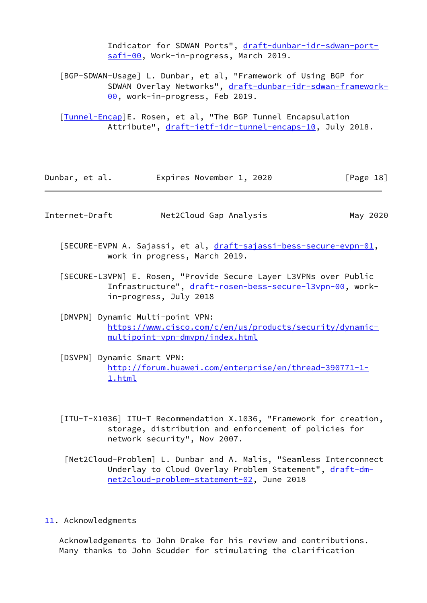Indicator for SDWAN Ports", [draft-dunbar-idr-sdwan-port](https://datatracker.ietf.org/doc/pdf/draft-dunbar-idr-sdwan-port-safi-00) [safi-00](https://datatracker.ietf.org/doc/pdf/draft-dunbar-idr-sdwan-port-safi-00), Work-in-progress, March 2019.

<span id="page-18-4"></span> [BGP-SDWAN-Usage] L. Dunbar, et al, "Framework of Using BGP for SDWAN Overlay Networks", [draft-dunbar-idr-sdwan-framework-](https://datatracker.ietf.org/doc/pdf/draft-dunbar-idr-sdwan-framework-00) [00,](https://datatracker.ietf.org/doc/pdf/draft-dunbar-idr-sdwan-framework-00) work-in-progress, Feb 2019.

 [\[Tunnel-Encap](#page-12-1)]E. Rosen, et al, "The BGP Tunnel Encapsulation Attribute", [draft-ietf-idr-tunnel-encaps-10](https://datatracker.ietf.org/doc/pdf/draft-ietf-idr-tunnel-encaps-10), July 2018.

| Dunbar, et al. | Expires November 1, 2020 |  |  | [Page 18] |  |
|----------------|--------------------------|--|--|-----------|--|
|----------------|--------------------------|--|--|-----------|--|

<span id="page-18-1"></span>

| Internet-Draft | Net2Cloud Gap Analysis |  |
|----------------|------------------------|--|
|----------------|------------------------|--|

May 2020

- [SECURE-EVPN A. Sajassi, et al, [draft-sajassi-bess-secure-evpn-01](https://datatracker.ietf.org/doc/pdf/draft-sajassi-bess-secure-evpn-01), work in progress, March 2019.
- [SECURE-L3VPN] E. Rosen, "Provide Secure Layer L3VPNs over Public Infrastructure", [draft-rosen-bess-secure-l3vpn-00,](https://datatracker.ietf.org/doc/pdf/draft-rosen-bess-secure-l3vpn-00) work in-progress, July 2018
- <span id="page-18-3"></span> [DMVPN] Dynamic Multi-point VPN: [https://www.cisco.com/c/en/us/products/security/dynamic](https://www.cisco.com/c/en/us/products/security/dynamic-multipoint-vpn-dmvpn/index.html) [multipoint-vpn-dmvpn/index.html](https://www.cisco.com/c/en/us/products/security/dynamic-multipoint-vpn-dmvpn/index.html)
- <span id="page-18-2"></span> [DSVPN] Dynamic Smart VPN: [http://forum.huawei.com/enterprise/en/thread-390771-1-](http://forum.huawei.com/enterprise/en/thread-390771-1-1.html) [1.html](http://forum.huawei.com/enterprise/en/thread-390771-1-1.html)
- [ITU-T-X1036] ITU-T Recommendation X.1036, "Framework for creation, storage, distribution and enforcement of policies for network security", Nov 2007.
	- [Net2Cloud-Problem] L. Dunbar and A. Malis, "Seamless Interconnect Underlay to Cloud Overlay Problem Statement", [draft-dm](https://datatracker.ietf.org/doc/pdf/draft-dm-net2cloud-problem-statement-02) [net2cloud-problem-statement-02](https://datatracker.ietf.org/doc/pdf/draft-dm-net2cloud-problem-statement-02), June 2018
- <span id="page-18-0"></span>[11.](#page-18-0) Acknowledgments

 Acknowledgements to John Drake for his review and contributions. Many thanks to John Scudder for stimulating the clarification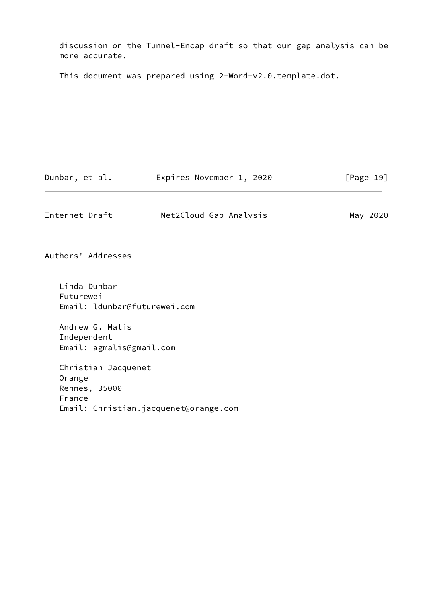discussion on the Tunnel-Encap draft so that our gap analysis can be more accurate.

This document was prepared using 2-Word-v2.0.template.dot.

Dunbar, et al. Expires November 1, 2020 [Page 19]

Internet-Draft Met2Cloud Gap Analysis May 2020

Authors' Addresses

 Linda Dunbar Futurewei Email: ldunbar@futurewei.com

 Andrew G. Malis Independent Email: agmalis@gmail.com

 Christian Jacquenet Orange Rennes, 35000 France Email: Christian.jacquenet@orange.com